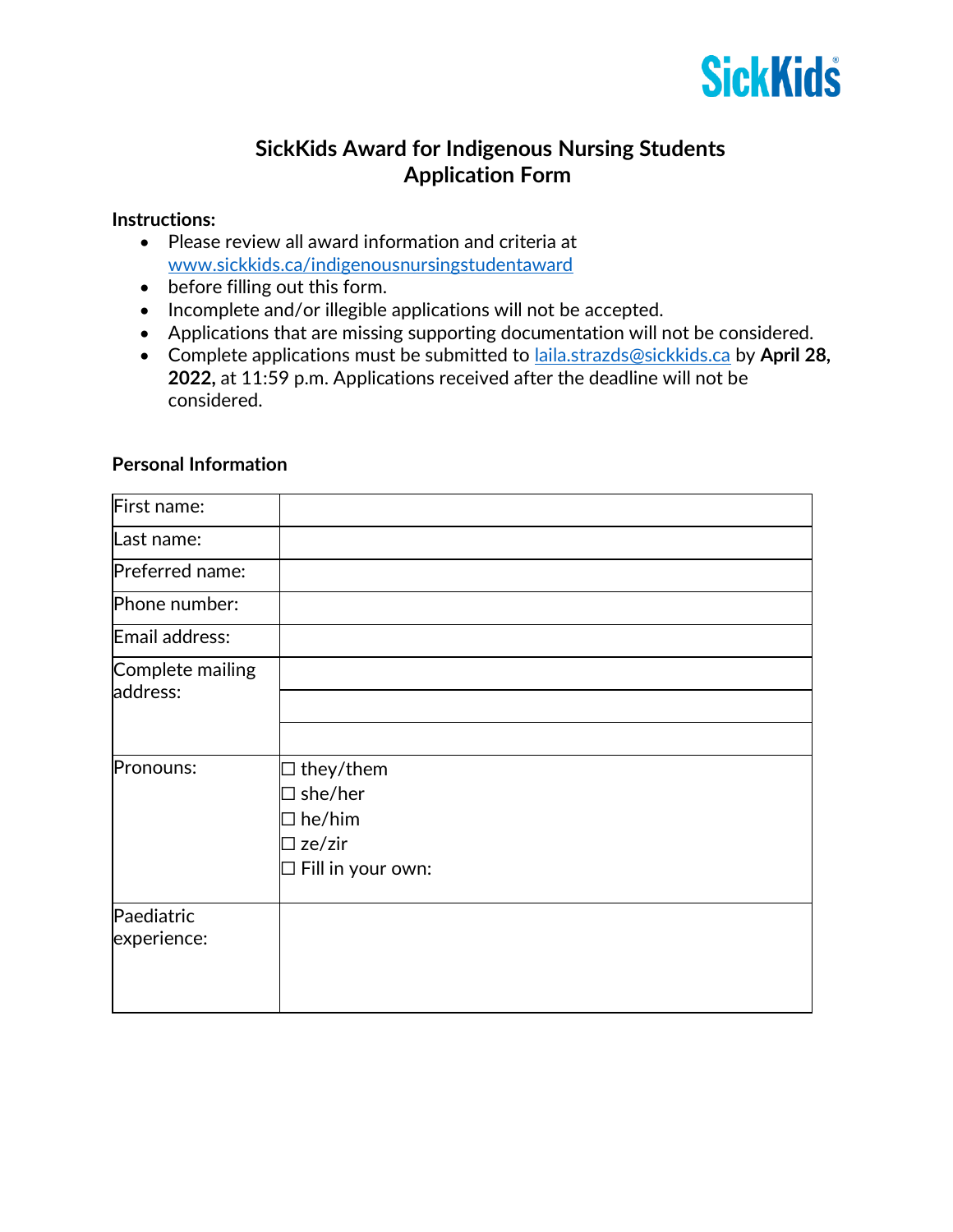

## **SickKids Award for Indigenous Nursing Students Application Form**

## **Instructions:**

- Please review all award information and criteria at [www.sickkids.ca/indigenousnursingstudentaward](http://www.sickkids.ca/indigenousnursingstudentaward)
- before filling out this form.
- Incomplete and/or illegible applications will not be accepted.
- Applications that are missing supporting documentation will not be considered.
- Complete applications must be submitted to [laila.strazds@sickkids.ca](mailto:laila.strazds@sickkids.ca) by **April 28, 2022,** at 11:59 p.m. Applications received after the deadline will not be considered.

## **Personal Information**

| First name:                  |                             |
|------------------------------|-----------------------------|
| Last name:                   |                             |
| Preferred name:              |                             |
| Phone number:                |                             |
| Email address:               |                             |
| Complete mailing<br>address: |                             |
|                              |                             |
|                              |                             |
| Pronouns:                    | $\Box$ they/them            |
|                              | $\Box$ she/her              |
|                              | $\square$ he/him            |
|                              | $\square$ ze/zir            |
|                              | $\square$ Fill in your own: |
| Paediatric                   |                             |
| experience:                  |                             |
|                              |                             |
|                              |                             |